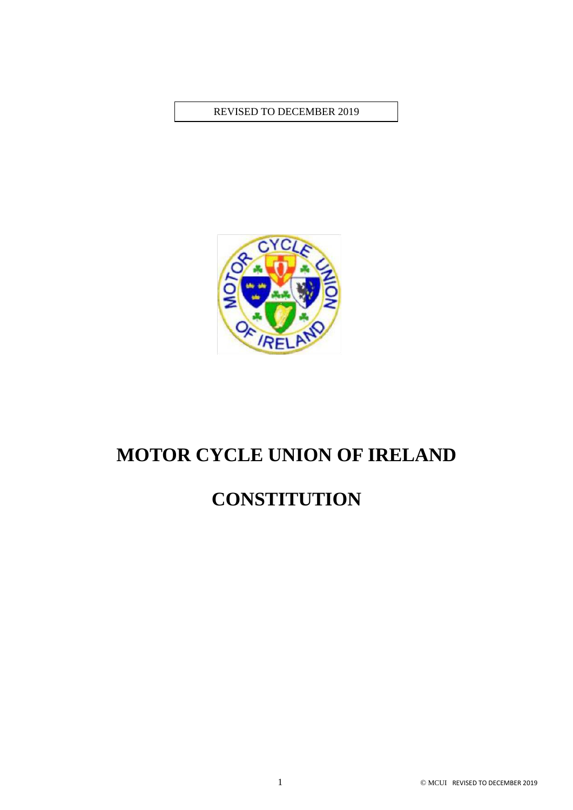REVISED TO DECEMBER 2019



# **MOTOR CYCLE UNION OF IRELAND**

## **CONSTITUTION**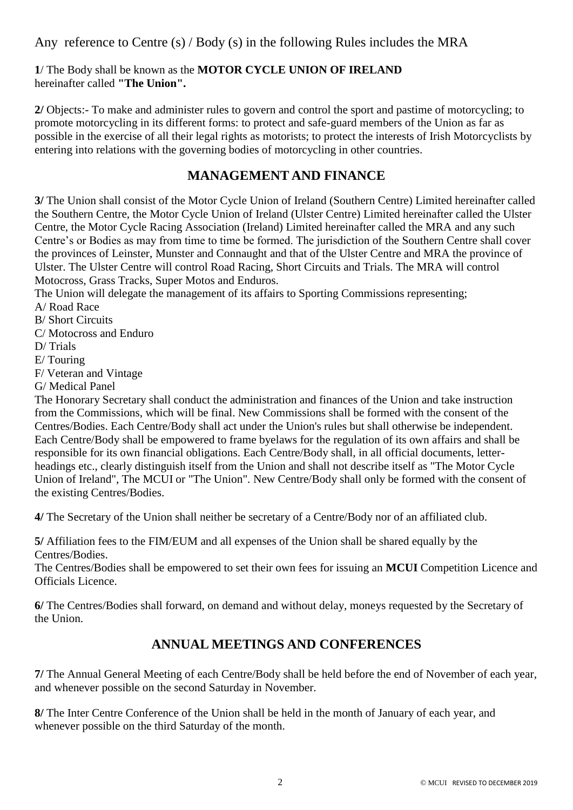Any reference to Centre (s) / Body (s) in the following Rules includes the MRA

**1**/ The Body shall be known as the **MOTOR CYCLE UNION OF IRELAND**  hereinafter called **"The Union".**

**2/** Objects:- To make and administer rules to govern and control the sport and pastime of motorcycling; to promote motorcycling in its different forms: to protect and safe-guard members of the Union as far as possible in the exercise of all their legal rights as motorists; to protect the interests of Irish Motorcyclists by entering into relations with the governing bodies of motorcycling in other countries.

### **MANAGEMENT AND FINANCE**

**3/** The Union shall consist of the Motor Cycle Union of Ireland (Southern Centre) Limited hereinafter called the Southern Centre, the Motor Cycle Union of Ireland (Ulster Centre) Limited hereinafter called the Ulster Centre, the Motor Cycle Racing Association (Ireland) Limited hereinafter called the MRA and any such Centre's or Bodies as may from time to time be formed. The jurisdiction of the Southern Centre shall cover the provinces of Leinster, Munster and Connaught and that of the Ulster Centre and MRA the province of Ulster. The Ulster Centre will control Road Racing, Short Circuits and Trials. The MRA will control Motocross, Grass Tracks, Super Motos and Enduros.

The Union will delegate the management of its affairs to Sporting Commissions representing;

A/ Road Race

B/ Short Circuits

C/ Motocross and Enduro

D/ Trials

E/ Touring

F/ Veteran and Vintage

G/ Medical Panel

The Honorary Secretary shall conduct the administration and finances of the Union and take instruction from the Commissions, which will be final. New Commissions shall be formed with the consent of the Centres/Bodies. Each Centre/Body shall act under the Union's rules but shall otherwise be independent. Each Centre/Body shall be empowered to frame byelaws for the regulation of its own affairs and shall be responsible for its own financial obligations. Each Centre/Body shall, in all official documents, letterheadings etc., clearly distinguish itself from the Union and shall not describe itself as "The Motor Cycle Union of Ireland", The MCUI or "The Union". New Centre/Body shall only be formed with the consent of the existing Centres/Bodies.

**4/** The Secretary of the Union shall neither be secretary of a Centre/Body nor of an affiliated club.

**5/** Affiliation fees to the FIM/EUM and all expenses of the Union shall be shared equally by the Centres/Bodies.

The Centres/Bodies shall be empowered to set their own fees for issuing an **MCUI** Competition Licence and Officials Licence.

**6/** The Centres/Bodies shall forward, on demand and without delay, moneys requested by the Secretary of the Union.

## **ANNUAL MEETINGS AND CONFERENCES**

**7/** The Annual General Meeting of each Centre/Body shall be held before the end of November of each year, and whenever possible on the second Saturday in November.

**8/** The Inter Centre Conference of the Union shall be held in the month of January of each year, and whenever possible on the third Saturday of the month.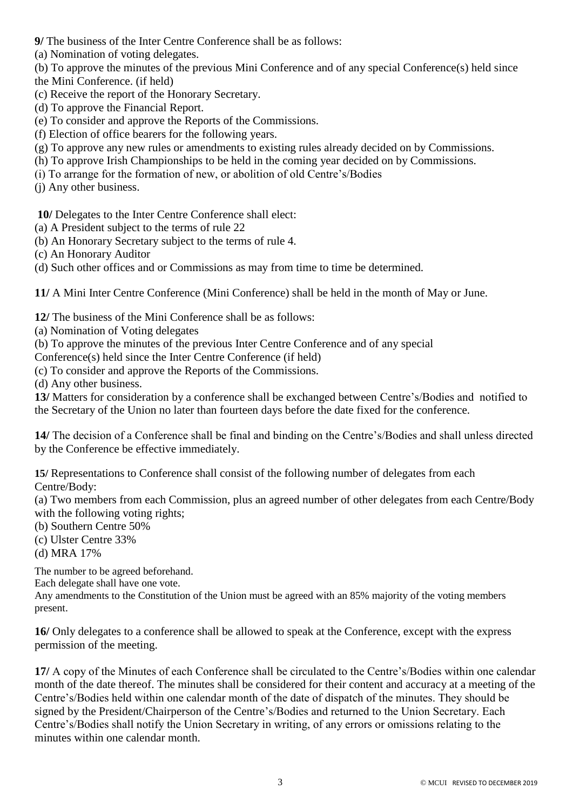- **9/** The business of the Inter Centre Conference shall be as follows:
- (a) Nomination of voting delegates.
- (b) To approve the minutes of the previous Mini Conference and of any special Conference(s) held since
- the Mini Conference. (if held)
- (c) Receive the report of the Honorary Secretary.
- (d) To approve the Financial Report.
- (e) To consider and approve the Reports of the Commissions.
- (f) Election of office bearers for the following years.
- (g) To approve any new rules or amendments to existing rules already decided on by Commissions.
- (h) To approve Irish Championships to be held in the coming year decided on by Commissions.
- (i) To arrange for the formation of new, or abolition of old Centre's/Bodies
- (j) Any other business.

**10/** Delegates to the Inter Centre Conference shall elect:

- (a) A President subject to the terms of rule 22
- (b) An Honorary Secretary subject to the terms of rule 4.
- (c) An Honorary Auditor
- (d) Such other offices and or Commissions as may from time to time be determined.

**11/** A Mini Inter Centre Conference (Mini Conference) shall be held in the month of May or June.

- **12/** The business of the Mini Conference shall be as follows:
- (a) Nomination of Voting delegates
- (b) To approve the minutes of the previous Inter Centre Conference and of any special
- Conference(s) held since the Inter Centre Conference (if held)
- (c) To consider and approve the Reports of the Commissions.
- (d) Any other business.

**13/** Matters for consideration by a conference shall be exchanged between Centre's/Bodies and notified to the Secretary of the Union no later than fourteen days before the date fixed for the conference.

**14/** The decision of a Conference shall be final and binding on the Centre's/Bodies and shall unless directed by the Conference be effective immediately.

**15/** Representations to Conference shall consist of the following number of delegates from each Centre/Body:

(a) Two members from each Commission, plus an agreed number of other delegates from each Centre/Body with the following voting rights;

- (b) Southern Centre 50%
- (c) Ulster Centre 33%
- (d) MRA 17%

The number to be agreed beforehand.

Each delegate shall have one vote.

Any amendments to the Constitution of the Union must be agreed with an 85% majority of the voting members present.

**16/** Only delegates to a conference shall be allowed to speak at the Conference, except with the express permission of the meeting.

**17/** A copy of the Minutes of each Conference shall be circulated to the Centre's/Bodies within one calendar month of the date thereof. The minutes shall be considered for their content and accuracy at a meeting of the Centre's/Bodies held within one calendar month of the date of dispatch of the minutes. They should be signed by the President/Chairperson of the Centre's/Bodies and returned to the Union Secretary. Each Centre's/Bodies shall notify the Union Secretary in writing, of any errors or omissions relating to the minutes within one calendar month.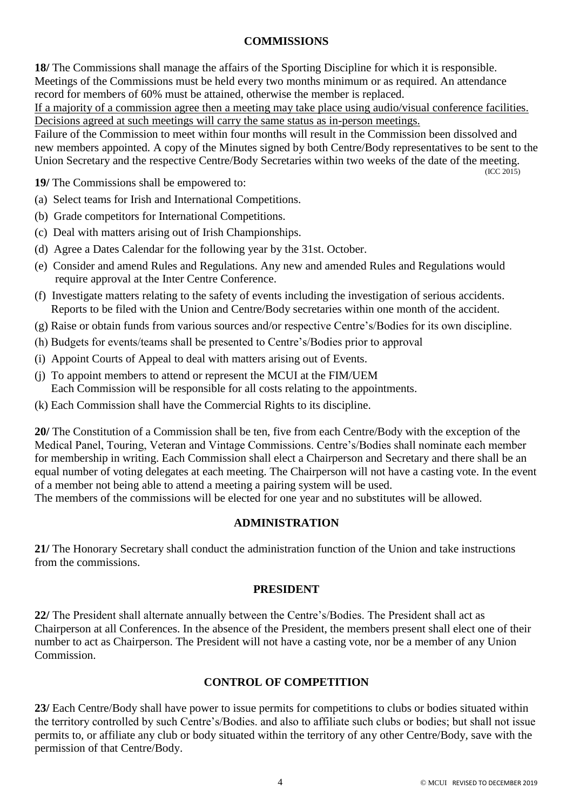#### **COMMISSIONS**

**18/** The Commissions shall manage the affairs of the Sporting Discipline for which it is responsible. Meetings of the Commissions must be held every two months minimum or as required. An attendance record for members of 60% must be attained, otherwise the member is replaced.

If a majority of a commission agree then a meeting may take place using audio/visual conference facilities. Decisions agreed at such meetings will carry the same status as in-person meetings.

Failure of the Commission to meet within four months will result in the Commission been dissolved and new members appointed. A copy of the Minutes signed by both Centre/Body representatives to be sent to the Union Secretary and the respective Centre/Body Secretaries within two weeks of the date of the meeting. (ICC 2015)

**19/** The Commissions shall be empowered to:

- (a) Select teams for Irish and International Competitions.
- (b) Grade competitors for International Competitions.
- (c) Deal with matters arising out of Irish Championships.
- (d) Agree a Dates Calendar for the following year by the 31st. October.
- (e) Consider and amend Rules and Regulations. Any new and amended Rules and Regulations would require approval at the Inter Centre Conference.
- (f) Investigate matters relating to the safety of events including the investigation of serious accidents. Reports to be filed with the Union and Centre/Body secretaries within one month of the accident.
- (g) Raise or obtain funds from various sources and/or respective Centre's/Bodies for its own discipline.
- (h) Budgets for events/teams shall be presented to Centre's/Bodies prior to approval
- (i) Appoint Courts of Appeal to deal with matters arising out of Events.
- (j) To appoint members to attend or represent the MCUI at the FIM/UEM Each Commission will be responsible for all costs relating to the appointments.
- (k) Each Commission shall have the Commercial Rights to its discipline.

**20/** The Constitution of a Commission shall be ten, five from each Centre/Body with the exception of the Medical Panel, Touring, Veteran and Vintage Commissions. Centre's/Bodies shall nominate each member for membership in writing. Each Commission shall elect a Chairperson and Secretary and there shall be an equal number of voting delegates at each meeting. The Chairperson will not have a casting vote. In the event of a member not being able to attend a meeting a pairing system will be used.

The members of the commissions will be elected for one year and no substitutes will be allowed.

#### **ADMINISTRATION**

**21/** The Honorary Secretary shall conduct the administration function of the Union and take instructions from the commissions.

#### **PRESIDENT**

**22/** The President shall alternate annually between the Centre's/Bodies. The President shall act as Chairperson at all Conferences. In the absence of the President, the members present shall elect one of their number to act as Chairperson. The President will not have a casting vote, nor be a member of any Union Commission.

#### **CONTROL OF COMPETITION**

**23/** Each Centre/Body shall have power to issue permits for competitions to clubs or bodies situated within the territory controlled by such Centre's/Bodies. and also to affiliate such clubs or bodies; but shall not issue permits to, or affiliate any club or body situated within the territory of any other Centre/Body, save with the permission of that Centre/Body.